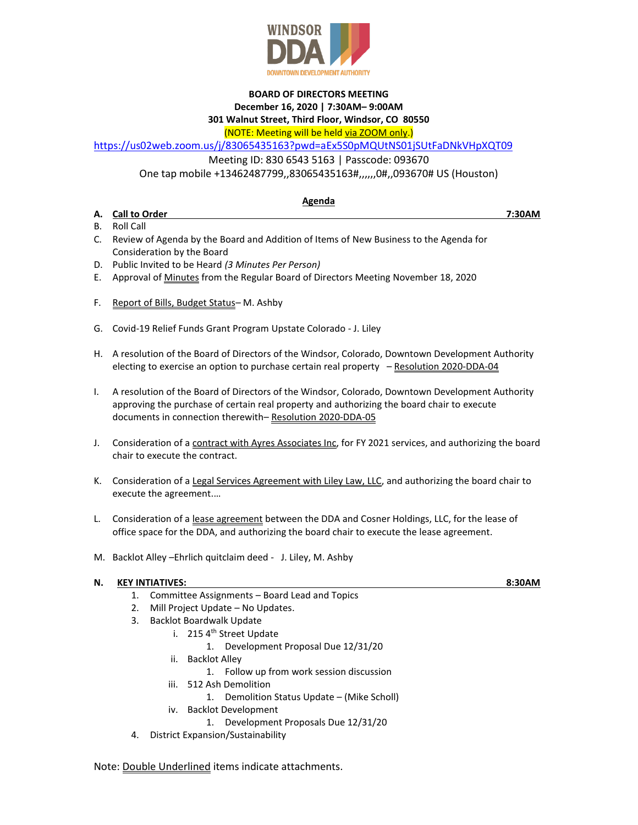

## **BOARD OF DIRECTORS MEETING**

**December 16, 2020 | 7:30AM– 9:00AM**

## **301 Walnut Street, Third Floor, Windsor, CO 80550**

(NOTE: Meeting will be held via ZOOM only.)

<https://us02web.zoom.us/j/83065435163?pwd=aEx5S0pMQUtNS01jSUtFaDNkVHpXQT09>

Meeting ID: 830 6543 5163 | Passcode: 093670

One tap mobile +13462487799,,83065435163#,,,,,,0#,,093670# US (Houston)

## **Agenda**

**A. Call to Order 7:30AM**

- B. Roll Call
- C. Review of Agenda by the Board and Addition of Items of New Business to the Agenda for Consideration by the Board
- D. Public Invited to be Heard *(3 Minutes Per Person)*
- E. Approval of Minutes from the Regular Board of Directors Meeting November 18, 2020
- F. Report of Bills, Budget Status*–* M. Ashby
- G. Covid-19 Relief Funds Grant Program Upstate Colorado J. Liley
- H. A resolution of the Board of Directors of the Windsor, Colorado, Downtown Development Authority electing to exercise an option to purchase certain real property - Resolution 2020-DDA-04
- I. A resolution of the Board of Directors of the Windsor, Colorado, Downtown Development Authority approving the purchase of certain real property and authorizing the board chair to execute documents in connection therewith– Resolution 2020-DDA-05
- J. Consideration of a contract with Ayres Associates Inc, for FY 2021 services, and authorizing the board chair to execute the contract.
- K. Consideration of a Legal Services Agreement with Liley Law, LLC, and authorizing the board chair to execute the agreement.…
- L. Consideration of a lease agreement between the DDA and Cosner Holdings, LLC, for the lease of office space for the DDA, and authorizing the board chair to execute the lease agreement.
- M. Backlot Alley –Ehrlich quitclaim deed J. Liley, M. Ashby

## **N. KEY INTIATIVES: 8:30AM**

- 1. Committee Assignments Board Lead and Topics
- 2. Mill Project Update No Updates.
- 3. Backlot Boardwalk Update
	- i. 215 4<sup>th</sup> Street Update
		- 1. Development Proposal Due 12/31/20
		- ii. Backlot Alley
			- 1. Follow up from work session discussion
		- iii. 512 Ash Demolition
			- 1. Demolition Status Update (Mike Scholl)
		- iv. Backlot Development
			- 1. Development Proposals Due 12/31/20
- 4. District Expansion/Sustainability

Note: Double Underlined items indicate attachments.